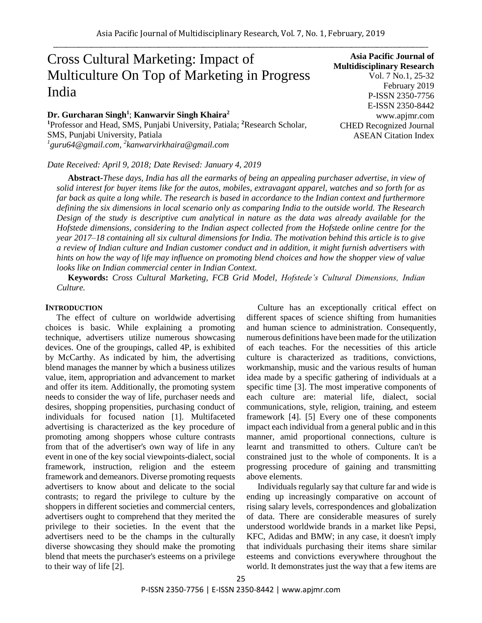# Cross Cultural Marketing: Impact of Multiculture On Top of Marketing in Progress India

**Dr. Gurcharan Singh<sup>1</sup>** ; **Kanwarvir Singh Khaira<sup>2</sup>**

**<sup>1</sup>**Professor and Head, SMS, Punjabi University, Patiala; **<sup>2</sup>**Research Scholar, SMS, Punjabi University, Patiala *1 guru64@gmail.com, <sup>2</sup> kanwarvirkhaira@gmail.com*

*Date Received: April 9, 2018; Date Revised: January 4, 2019*

**Asia Pacific Journal of Multidisciplinary Research** Vol. 7 No.1, 25-32 February 2019 P-ISSN 2350-7756 E-ISSN 2350-8442 www.apjmr.com CHED Recognized Journal ASEAN Citation Index

**Abstract-***These days, India has all the earmarks of being an appealing purchaser advertise, in view of solid interest for buyer items like for the autos, mobiles, extravagant apparel, watches and so forth for as far back as quite a long while. The research is based in accordance to the Indian context and furthermore defining the six dimensions in local scenario only as comparing India to the outside world. The Research Design of the study is descriptive cum analytical in nature as the data was already available for the Hofstede dimensions, considering to the Indian aspect collected from the Hofstede online centre for the year 2017–18 containing all six cultural dimensions for India. The motivation behind this article is to give a review of Indian culture and Indian customer conduct and in addition, it might furnish advertisers with hints on how the way of life may influence on promoting blend choices and how the shopper view of value looks like on Indian commercial center in Indian Context.*

**Keywords:** *Cross Cultural Marketing, FCB Grid Model, Hofstede's Cultural Dimensions, Indian Culture.*

# **INTRODUCTION**

The effect of culture on worldwide advertising choices is basic. While explaining a promoting technique, advertisers utilize numerous showcasing devices. One of the groupings, called 4P, is exhibited by McCarthy. As indicated by him, the advertising blend manages the manner by which a business utilizes value, item, appropriation and advancement to market and offer its item. Additionally, the promoting system needs to consider the way of life, purchaser needs and desires, shopping propensities, purchasing conduct of individuals for focused nation [1]. Multifaceted advertising is characterized as the key procedure of promoting among shoppers whose culture contrasts from that of the advertiser's own way of life in any event in one of the key social viewpoints-dialect, social framework, instruction, religion and the esteem framework and demeanors. Diverse promoting requests advertisers to know about and delicate to the social contrasts; to regard the privilege to culture by the shoppers in different societies and commercial centers, advertisers ought to comprehend that they merited the privilege to their societies. In the event that the advertisers need to be the champs in the culturally diverse showcasing they should make the promoting blend that meets the purchaser's esteems on a privilege to their way of life [2].

Culture has an exceptionally critical effect on different spaces of science shifting from humanities and human science to administration. Consequently, numerous definitions have been made for the utilization of each teaches. For the necessities of this article culture is characterized as traditions, convictions, workmanship, music and the various results of human idea made by a specific gathering of individuals at a specific time [3]. The most imperative components of each culture are: material life, dialect, social communications, style, religion, training, and esteem framework [4]. [5] Every one of these components impact each individual from a general public and in this manner, amid proportional connections, culture is learnt and transmitted to others. Culture can't be constrained just to the whole of components. It is a progressing procedure of gaining and transmitting above elements.

Individuals regularly say that culture far and wide is ending up increasingly comparative on account of rising salary levels, correspondences and globalization of data. There are considerable measures of surely understood worldwide brands in a market like Pepsi, KFC, Adidas and BMW; in any case, it doesn't imply that individuals purchasing their items share similar esteems and convictions everywhere throughout the world. It demonstrates just the way that a few items are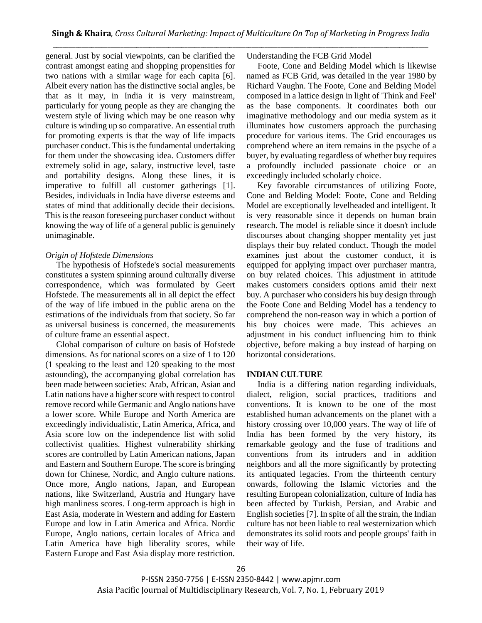general. Just by social viewpoints, can be clarified the contrast amongst eating and shopping propensities for two nations with a similar wage for each capita [6]. Albeit every nation has the distinctive social angles, be that as it may, in India it is very mainstream, particularly for young people as they are changing the western style of living which may be one reason why culture is winding up so comparative. An essential truth for promoting experts is that the way of life impacts purchaser conduct. This is the fundamental undertaking for them under the showcasing idea. Customers differ extremely solid in age, salary, instructive level, taste and portability designs. Along these lines, it is imperative to fulfill all customer gatherings [1]. Besides, individuals in India have diverse esteems and states of mind that additionally decide their decisions. This is the reason foreseeing purchaser conduct without knowing the way of life of a general public is genuinely unimaginable.

# *Origin of Hofstede Dimensions*

The hypothesis of Hofstede's social measurements constitutes a system spinning around culturally diverse correspondence, which was formulated by Geert Hofstede. The measurements all in all depict the effect of the way of life imbued in the public arena on the estimations of the individuals from that society. So far as universal business is concerned, the measurements of culture frame an essential aspect.

 Global comparison of culture on basis of Hofstede dimensions. As for national scores on a size of 1 to 120 (1 speaking to the least and 120 speaking to the most astounding), the accompanying global correlation has been made between societies: Arab, African, Asian and Latin nations have a higher score with respect to control remove record while Germanic and Anglo nations have a lower score. While Europe and North America are exceedingly individualistic, Latin America, Africa, and Asia score low on the independence list with solid collectivist qualities. Highest vulnerability shirking scores are controlled by Latin American nations, Japan and Eastern and Southern Europe. The score is bringing down for Chinese, Nordic, and Anglo culture nations. Once more, Anglo nations, Japan, and European nations, like Switzerland, Austria and Hungary have high manliness scores. Long-term approach is high in East Asia, moderate in Western and adding for Eastern Europe and low in Latin America and Africa. Nordic Europe, Anglo nations, certain locales of Africa and Latin America have high liberality scores, while Eastern Europe and East Asia display more restriction.

Understanding the FCB Grid Model

Foote, Cone and Belding Model which is likewise named as FCB Grid, was detailed in the year 1980 by Richard Vaughn. The Foote, Cone and Belding Model composed in a lattice design in light of 'Think and Feel' as the base components. It coordinates both our imaginative methodology and our media system as it illuminates how customers approach the purchasing procedure for various items. The Grid encourages us comprehend where an item remains in the psyche of a buyer, by evaluating regardless of whether buy requires a profoundly included passionate choice or an exceedingly included scholarly choice.

 Key favorable circumstances of utilizing Foote, Cone and Belding Model: Foote, Cone and Belding Model are exceptionally levelheaded and intelligent. It is very reasonable since it depends on human brain research. The model is reliable since it doesn't include discourses about changing shopper mentality yet just displays their buy related conduct. Though the model examines just about the customer conduct, it is equipped for applying impact over purchaser mantra, on buy related choices. This adjustment in attitude makes customers considers options amid their next buy. A purchaser who considers his buy design through the Foote Cone and Belding Model has a tendency to comprehend the non-reason way in which a portion of his buy choices were made. This achieves an adjustment in his conduct influencing him to think objective, before making a buy instead of harping on horizontal considerations.

## **INDIAN CULTURE**

India is a differing nation regarding individuals, dialect, religion, social practices, traditions and conventions. It is known to be one of the most established human advancements on the planet with a history crossing over 10,000 years. The way of life of India has been formed by the very history, its remarkable geology and the fuse of traditions and conventions from its intruders and in addition neighbors and all the more significantly by protecting its antiquated legacies. From the thirteenth century onwards, following the Islamic victories and the resulting European colonialization, culture of India has been affected by Turkish, Persian, and Arabic and English societies [7]. In spite of all the strain, the Indian culture has not been liable to real westernization which demonstrates its solid roots and people groups' faith in their way of life.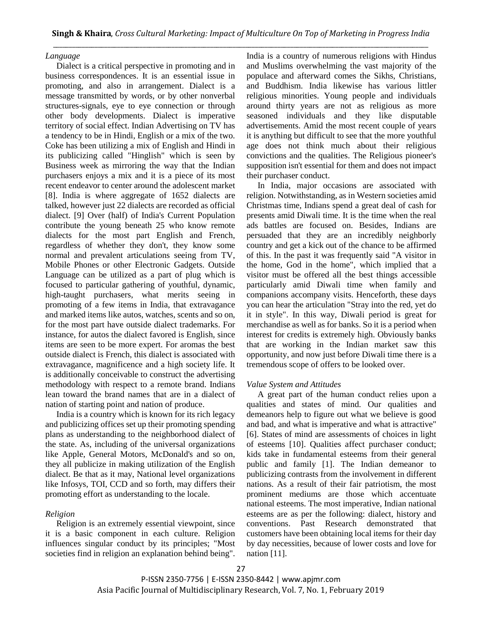# *Language*

Dialect is a critical perspective in promoting and in business correspondences. It is an essential issue in promoting, and also in arrangement. Dialect is a message transmitted by words, or by other nonverbal structures-signals, eye to eye connection or through other body developments. Dialect is imperative territory of social effect. Indian Advertising on TV has a tendency to be in Hindi, English or a mix of the two. Coke has been utilizing a mix of English and Hindi in its publicizing called "Hinglish" which is seen by Business week as mirroring the way that the Indian purchasers enjoys a mix and it is a piece of its most recent endeavor to center around the adolescent market [8]. India is where aggregate of 1652 dialects are talked, however just 22 dialects are recorded as official dialect. [9] Over (half) of India's Current Population contribute the young beneath 25 who know remote dialects for the most part English and French, regardless of whether they don't, they know some normal and prevalent articulations seeing from TV, Mobile Phones or other Electronic Gadgets. Outside Language can be utilized as a part of plug which is focused to particular gathering of youthful, dynamic, high-taught purchasers, what merits seeing in promoting of a few items in India, that extravagance and marked items like autos, watches, scents and so on, for the most part have outside dialect trademarks. For instance, for autos the dialect favored is English, since items are seen to be more expert. For aromas the best outside dialect is French, this dialect is associated with extravagance, magnificence and a high society life. It is additionally conceivable to construct the advertising methodology with respect to a remote brand. Indians lean toward the brand names that are in a dialect of nation of starting point and nation of produce.

India is a country which is known for its rich legacy and publicizing offices set up their promoting spending plans as understanding to the neighborhood dialect of the state. As, including of the universal organizations like Apple, General Motors, McDonald's and so on, they all publicize in making utilization of the English dialect. Be that as it may, National level organizations like Infosys, TOI, CCD and so forth, may differs their promoting effort as understanding to the locale.

# *Religion*

Religion is an extremely essential viewpoint, since it is a basic component in each culture. Religion influences singular conduct by its principles; "Most societies find in religion an explanation behind being".

India is a country of numerous religions with Hindus and Muslims overwhelming the vast majority of the populace and afterward comes the Sikhs, Christians, and Buddhism. India likewise has various littler religious minorities. Young people and individuals around thirty years are not as religious as more seasoned individuals and they like disputable advertisements. Amid the most recent couple of years it is anything but difficult to see that the more youthful age does not think much about their religious convictions and the qualities. The Religious pioneer's supposition isn't essential for them and does not impact their purchaser conduct.

In India, major occasions are associated with religion. Notwithstanding, as in Western societies amid Christmas time, Indians spend a great deal of cash for presents amid Diwali time. It is the time when the real ads battles are focused on. Besides, Indians are persuaded that they are an incredibly neighborly country and get a kick out of the chance to be affirmed of this. In the past it was frequently said "A visitor in the home, God in the home", which implied that a visitor must be offered all the best things accessible particularly amid Diwali time when family and companions accompany visits. Henceforth, these days you can hear the articulation "Stray into the red, yet do it in style". In this way, Diwali period is great for merchandise as well as for banks. So it is a period when interest for credits is extremely high. Obviously banks that are working in the Indian market saw this opportunity, and now just before Diwali time there is a tremendous scope of offers to be looked over.

## *Value System and Attitudes*

A great part of the human conduct relies upon a qualities and states of mind. Our qualities and demeanors help to figure out what we believe is good and bad, and what is imperative and what is attractive" [6]. States of mind are assessments of choices in light of esteems [10]. Qualities affect purchaser conduct; kids take in fundamental esteems from their general public and family [1]. The Indian demeanor to publicizing contrasts from the involvement in different nations. As a result of their fair patriotism, the most prominent mediums are those which accentuate national esteems. The most imperative, Indian national esteems are as per the following: dialect, history and conventions. Past Research demonstrated that customers have been obtaining local items for their day by day necessities, because of lower costs and love for nation [11].

P-ISSN 2350-7756 | E-ISSN 2350-8442 | www.apjmr.com Asia Pacific Journal of Multidisciplinary Research, Vol. 7, No. 1, February 2019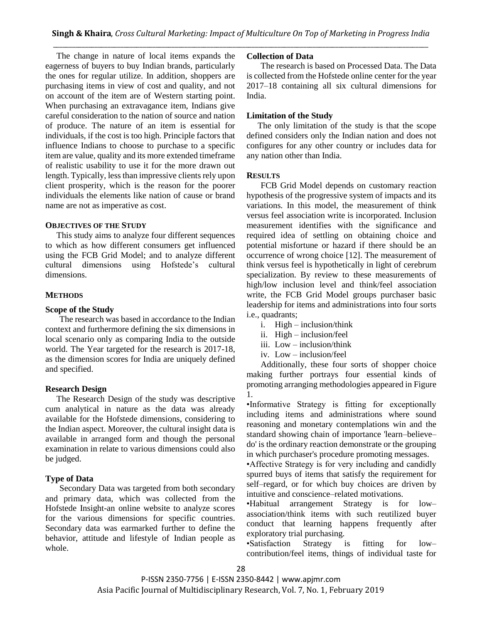The change in nature of local items expands the eagerness of buyers to buy Indian brands, particularly the ones for regular utilize. In addition, shoppers are purchasing items in view of cost and quality, and not on account of the item are of Western starting point. When purchasing an extravagance item, Indians give careful consideration to the nation of source and nation of produce. The nature of an item is essential for individuals, if the cost is too high. Principle factors that influence Indians to choose to purchase to a specific item are value, quality and its more extended timeframe of realistic usability to use it for the more drawn out length. Typically, less than impressive clients rely upon client prosperity, which is the reason for the poorer individuals the elements like nation of cause or brand name are not as imperative as cost.

# **OBJECTIVES OF THE STUDY**

This study aims to analyze four different sequences to which as how different consumers get influenced using the FCB Grid Model; and to analyze different cultural dimensions using Hofstede's cultural dimensions.

## **METHODS**

# **Scope of the Study**

The research was based in accordance to the Indian context and furthermore defining the six dimensions in local scenario only as comparing India to the outside world. The Year targeted for the research is 2017-18, as the dimension scores for India are uniquely defined and specified.

# **Research Design**

The Research Design of the study was descriptive cum analytical in nature as the data was already available for the Hofstede dimensions, considering to the Indian aspect. Moreover, the cultural insight data is available in arranged form and though the personal examination in relate to various dimensions could also be judged.

# **Type of Data**

Secondary Data was targeted from both secondary and primary data, which was collected from the Hofstede Insight-an online website to analyze scores for the various dimensions for specific countries. Secondary data was earmarked further to define the behavior, attitude and lifestyle of Indian people as whole.

## **Collection of Data**

The research is based on Processed Data. The Data is collected from the Hofstede online center for the year 2017–18 containing all six cultural dimensions for India.

# **Limitation of the Study**

The only limitation of the study is that the scope defined considers only the Indian nation and does not configures for any other country or includes data for any nation other than India.

## **RESULTS**

FCB Grid Model depends on customary reaction hypothesis of the progressive system of impacts and its variations. In this model, the measurement of think versus feel association write is incorporated. Inclusion measurement identifies with the significance and required idea of settling on obtaining choice and potential misfortune or hazard if there should be an occurrence of wrong choice [12]. The measurement of think versus feel is hypothetically in light of cerebrum specialization. By review to these measurements of high/low inclusion level and think/feel association write, the FCB Grid Model groups purchaser basic leadership for items and administrations into four sorts i.e., quadrants;

- i. High inclusion/think
- ii. High inclusion/feel
- iii. Low inclusion/think
- iv. Low inclusion/feel

Additionally, these four sorts of shopper choice making further portrays four essential kinds of promoting arranging methodologies appeared in Figure 1.

•Informative Strategy is fitting for exceptionally including items and administrations where sound reasoning and monetary contemplations win and the standard showing chain of importance 'learn–believe– do' is the ordinary reaction demonstrate or the grouping in which purchaser's procedure promoting messages.

•Affective Strategy is for very including and candidly spurred buys of items that satisfy the requirement for self–regard, or for which buy choices are driven by intuitive and conscience–related motivations.

•Habitual arrangement Strategy is for low– association/think items with such reutilized buyer conduct that learning happens frequently after exploratory trial purchasing.

•Satisfaction Strategy is fitting for low– contribution/feel items, things of individual taste for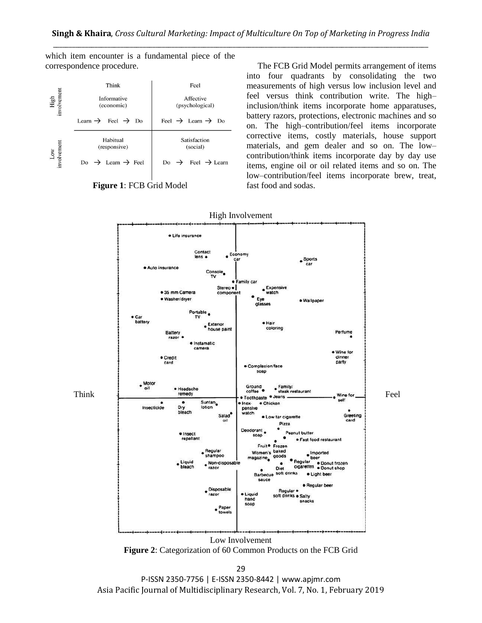which item encounter is a fundamental piece of the correspondence procedure.

|                     | Think                                                                 | Feel                                                                  |
|---------------------|-----------------------------------------------------------------------|-----------------------------------------------------------------------|
| High<br>involvement | <b>Informative</b><br>(economic)                                      | Affective<br>(psychological)                                          |
|                     | Feel $\rightarrow$ Do<br>Learn $\rightarrow$                          | Feel $\rightarrow$ Learn $\rightarrow$ Do                             |
| Low<br>involvement  | Habitual<br>(responsive)<br>Do $\rightarrow$ Learn $\rightarrow$ Feel | Satisfaction<br>(social)<br>Do $\rightarrow$ Feel $\rightarrow$ Learn |

**Figure 1**: FCB Grid Model

The FCB Grid Model permits arrangement of items into four quadrants by consolidating the two measurements of high versus low inclusion level and feel versus think contribution write. The high– inclusion/think items incorporate home apparatuses, battery razors, protections, electronic machines and so on. The high–contribution/feel items incorporate corrective items, costly materials, house support materials, and gem dealer and so on. The low– contribution/think items incorporate day by day use items, engine oil or oil related items and so on. The low–contribution/feel items incorporate brew, treat, fast food and sodas.





29 P-ISSN 2350-7756 | E-ISSN 2350-8442 | www.apjmr.com Asia Pacific Journal of Multidisciplinary Research, Vol. 7, No. 1, February 2019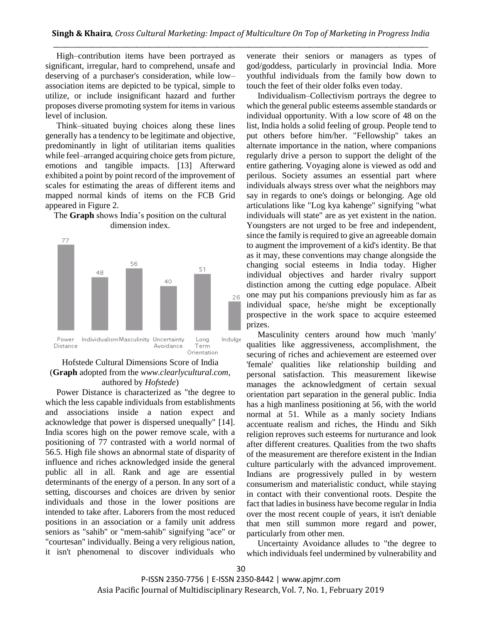High–contribution items have been portrayed as significant, irregular, hard to comprehend, unsafe and deserving of a purchaser's consideration, while low– association items are depicted to be typical, simple to utilize, or include insignificant hazard and further proposes diverse promoting system for items in various level of inclusion.

Think–situated buying choices along these lines generally has a tendency to be legitimate and objective, predominantly in light of utilitarian items qualities while feel–arranged acquiring choice gets from picture, emotions and tangible impacts. [13] Afterward exhibited a point by point record of the improvement of scales for estimating the areas of different items and mapped normal kinds of items on the FCB Grid appeared in Figure 2.

# The **Graph** shows India's position on the cultural dimension index.



# Hofstede Cultural Dimensions Score of India (**Graph** adopted from the *[www.clearlycultural.com](http://www.clearlycultural.com/)*, authored by *Hofstede*)

Power Distance is characterized as "the degree to which the less capable individuals from establishments and associations inside a nation expect and acknowledge that power is dispersed unequally" [14]. India scores high on the power remove scale, with a positioning of 77 contrasted with a world normal of 56.5. High file shows an abnormal state of disparity of influence and riches acknowledged inside the general public all in all. Rank and age are essential determinants of the energy of a person. In any sort of a setting, discourses and choices are driven by senior individuals and those in the lower positions are intended to take after. Laborers from the most reduced positions in an association or a family unit address seniors as "sahib" or "mem-sahib" signifying "ace" or "courtesan" individually. Being a very religious nation, it isn't phenomenal to discover individuals who

venerate their seniors or managers as types of god/goddess, particularly in provincial India. More youthful individuals from the family bow down to touch the feet of their older folks even today.

Individualism–Collectivism portrays the degree to which the general public esteems assemble standards or individual opportunity. With a low score of 48 on the list, India holds a solid feeling of group. People tend to put others before him/her. "Fellowship" takes an alternate importance in the nation, where companions regularly drive a person to support the delight of the entire gathering. Voyaging alone is viewed as odd and perilous. Society assumes an essential part where individuals always stress over what the neighbors may say in regards to one's doings or belonging. Age old articulations like "Log kya kahenge" signifying "what individuals will state" are as yet existent in the nation. Youngsters are not urged to be free and independent, since the family is required to give an agreeable domain to augment the improvement of a kid's identity. Be that as it may, these conventions may change alongside the changing social esteems in India today. Higher individual objectives and harder rivalry support distinction among the cutting edge populace. Albeit one may put his companions previously him as far as individual space, he/she might be exceptionally prospective in the work space to acquire esteemed prizes.

Masculinity centers around how much 'manly' qualities like aggressiveness, accomplishment, the securing of riches and achievement are esteemed over 'female' qualities like relationship building and personal satisfaction. This measurement likewise manages the acknowledgment of certain sexual orientation part separation in the general public. India has a high manliness positioning at 56, with the world normal at 51. While as a manly society Indians accentuate realism and riches, the Hindu and Sikh religion reproves such esteems for nurturance and look after different creatures. Qualities from the two shafts of the measurement are therefore existent in the Indian culture particularly with the advanced improvement. Indians are progressively pulled in by western consumerism and materialistic conduct, while staying in contact with their conventional roots. Despite the fact that ladies in business have become regular in India over the most recent couple of years, it isn't deniable that men still summon more regard and power, particularly from other men.

Uncertainty Avoidance alludes to "the degree to which individuals feel undermined by vulnerability and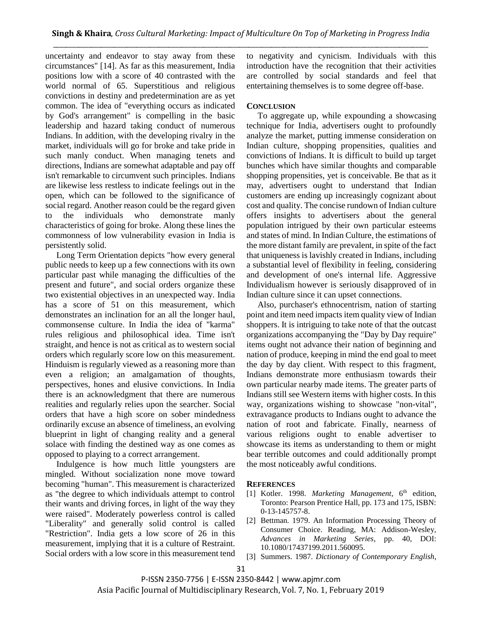uncertainty and endeavor to stay away from these circumstances" [14]. As far as this measurement, India positions low with a score of 40 contrasted with the world normal of 65. Superstitious and religious convictions in destiny and predetermination are as yet common. The idea of "everything occurs as indicated by God's arrangement" is compelling in the basic leadership and hazard taking conduct of numerous Indians. In addition, with the developing rivalry in the market, individuals will go for broke and take pride in such manly conduct. When managing tenets and directions, Indians are somewhat adaptable and pay off isn't remarkable to circumvent such principles. Indians are likewise less restless to indicate feelings out in the open, which can be followed to the significance of social regard. Another reason could be the regard given to the individuals who demonstrate manly characteristics of going for broke. Along these lines the commonness of low vulnerability evasion in India is persistently solid.

Long Term Orientation depicts "how every general public needs to keep up a few connections with its own particular past while managing the difficulties of the present and future", and social orders organize these two existential objectives in an unexpected way. India has a score of 51 on this measurement, which demonstrates an inclination for an all the longer haul, commonsense culture. In India the idea of "karma" rules religious and philosophical idea. Time isn't straight, and hence is not as critical as to western social orders which regularly score low on this measurement. Hinduism is regularly viewed as a reasoning more than even a religion; an amalgamation of thoughts, perspectives, hones and elusive convictions. In India there is an acknowledgment that there are numerous realities and regularly relies upon the searcher. Social orders that have a high score on sober mindedness ordinarily excuse an absence of timeliness, an evolving blueprint in light of changing reality and a general solace with finding the destined way as one comes as opposed to playing to a correct arrangement.

Indulgence is how much little youngsters are mingled. Without socialization none move toward becoming "human". This measurement is characterized as "the degree to which individuals attempt to control their wants and driving forces, in light of the way they were raised". Moderately powerless control is called "Liberality" and generally solid control is called "Restriction". India gets a low score of 26 in this measurement, implying that it is a culture of Restraint. Social orders with a low score in this measurement tend to negativity and cynicism. Individuals with this introduction have the recognition that their activities are controlled by social standards and feel that entertaining themselves is to some degree off-base.

# **CONCLUSION**

To aggregate up, while expounding a showcasing technique for India, advertisers ought to profoundly analyze the market, putting immense consideration on Indian culture, shopping propensities, qualities and convictions of Indians. It is difficult to build up target bunches which have similar thoughts and comparable shopping propensities, yet is conceivable. Be that as it may, advertisers ought to understand that Indian customers are ending up increasingly cognizant about cost and quality. The concise rundown of Indian culture offers insights to advertisers about the general population intrigued by their own particular esteems and states of mind. In Indian Culture, the estimations of the more distant family are prevalent, in spite of the fact that uniqueness is lavishly created in Indians, including a substantial level of flexibility in feeling, considering and development of one's internal life. Aggressive Individualism however is seriously disapproved of in Indian culture since it can upset connections.

Also, purchaser's ethnocentrism, nation of starting point and item need impacts item quality view of Indian shoppers. It is intriguing to take note of that the outcast organizations accompanying the "Day by Day require" items ought not advance their nation of beginning and nation of produce, keeping in mind the end goal to meet the day by day client. With respect to this fragment, Indians demonstrate more enthusiasm towards their own particular nearby made items. The greater parts of Indians still see Western items with higher costs. In this way, organizations wishing to showcase "non-vital", extravagance products to Indians ought to advance the nation of root and fabricate. Finally, nearness of various religions ought to enable advertiser to showcase its items as understanding to them or might bear terrible outcomes and could additionally prompt the most noticeably awful conditions.

# **REFERENCES**

- [1] Kotler. 1998. *Marketing Management*, 6<sup>th</sup> edition, Toronto: Pearson Prentice Hall, pp. 173 and 175, ISBN: 0-13-145757-8.
- [2] Bettman. 1979. An Information Processing Theory of Consumer Choice. Reading, MA: Addison-Wesley, *Advances in Marketing Series*, pp. 40, DOI: 10.1080/17437199.2011.560095.
- [3] Summers. 1987. *Dictionary of Contemporary English*,